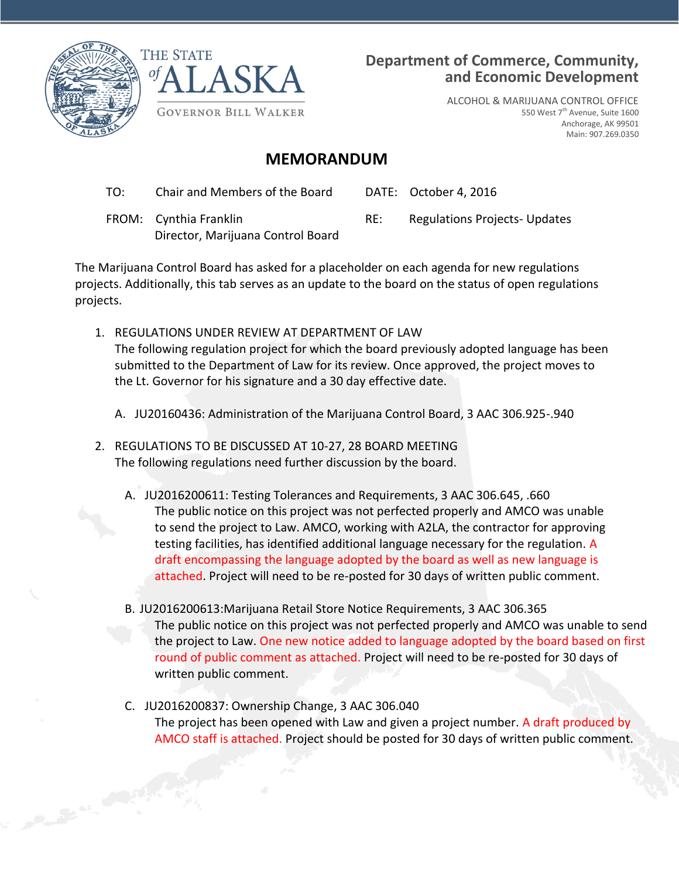

Canal Ave. Canal Ave.



## **Department of Commerce, Community, and Economic Development**

ALCOHOL & MARIJUANA CONTROL OFFICE 550 West 7<sup>th</sup> Avenue, Suite 1600 Anchorage, AK 99501 Main: 907.269.0350

## **MEMORANDUM**

| TO: | Chair and Members of the Board                              |     | DATE: October 4, 2016                |
|-----|-------------------------------------------------------------|-----|--------------------------------------|
|     | FROM: Cynthia Franklin<br>Director, Marijuana Control Board | RE: | <b>Regulations Projects- Updates</b> |

The Marijuana Control Board has asked for a placeholder on each agenda for new regulations projects. Additionally, this tab serves as an update to the board on the status of open regulations projects.

- 1. REGULATIONS UNDER REVIEW AT DEPARTMENT OF LAW The following regulation project for which the board previously adopted language has been submitted to the Department of Law for its review. Once approved, the project moves to the Lt. Governor for his signature and a 30 day effective date.
	- A. JU20160436: Administration of the Marijuana Control Board, 3 AAC 306.925-.940
- 2. REGULATIONS TO BE DISCUSSED AT 10-27, 28 BOARD MEETING The following regulations need further discussion by the board.
	- A. JU2016200611: Testing Tolerances and Requirements, 3 AAC 306.645, .660 The public notice on this project was not perfected properly and AMCO was unable to send the project to Law. AMCO, working with A2LA, the contractor for approving testing facilities, has identified additional language necessary for the regulation. A draft encompassing the language adopted by the board as well as new language is attached. Project will need to be re-posted for 30 days of written public comment.
	- B. JU2016200613:Marijuana Retail Store Notice Requirements, 3 AAC 306.365 The public notice on this project was not perfected properly and AMCO was unable to send the project to Law. One new notice added to language adopted by the board based on first round of public comment as attached. Project will need to be re-posted for 30 days of written public comment.
	- C. JU2016200837: Ownership Change, 3 AAC 306.040 The project has been opened with Law and given a project number. A draft produced by AMCO staff is attached. Project should be posted for 30 days of written public comment.